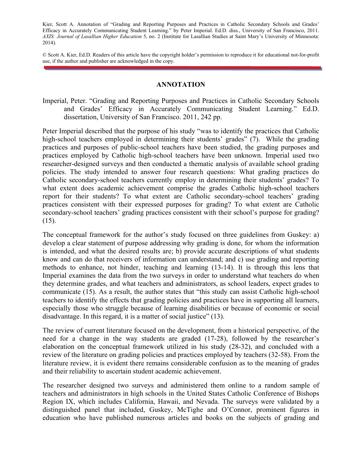Kier, Scott A. Annotation of "Grading and Reporting Purposes and Practices in Catholic Secondary Schools and Grades' Efficacy in Accurately Communicating Student Learning." by Peter Imperial. Ed.D. diss., University of San Francisco, 2011. *AXIS: Journal of Lasallian Higher Education* 5, no. 2 (Institute for Lasallian Studies at Saint Mary's University of Minnesota: 2014).

© Scott A. Kier, Ed.D. Readers of this article have the copyright holder's permission to reproduce it for educational not-for-profit use, if the author and publisher are acknowledged in the copy.

## **ANNOTATION**

Imperial, Peter. "Grading and Reporting Purposes and Practices in Catholic Secondary Schools and Grades' Efficacy in Accurately Communicating Student Learning." Ed.D. dissertation, University of San Francisco. 2011, 242 pp.

Peter Imperial described that the purpose of his study "was to identify the practices that Catholic high-school teachers employed in determining their students' grades" (7). While the grading practices and purposes of public-school teachers have been studied, the grading purposes and practices employed by Catholic high-school teachers have been unknown. Imperial used two researcher-designed surveys and then conducted a thematic analysis of available school grading policies. The study intended to answer four research questions: What grading practices do Catholic secondary-school teachers currently employ in determining their students' grades? To what extent does academic achievement comprise the grades Catholic high-school teachers report for their students? To what extent are Catholic secondary-school teachers' grading practices consistent with their expressed purposes for grading? To what extent are Catholic secondary-school teachers' grading practices consistent with their school's purpose for grading? (15).

The conceptual framework for the author's study focused on three guidelines from Guskey: a) develop a clear statement of purpose addressing why grading is done, for whom the information is intended, and what the desired results are; b) provide accurate descriptions of what students know and can do that receivers of information can understand; and c) use grading and reporting methods to enhance, not hinder, teaching and learning (13-14). It is through this lens that Imperial examines the data from the two surveys in order to understand what teachers do when they determine grades, and what teachers and administrators, as school leaders, expect grades to communicate (15). As a result, the author states that "this study can assist Catholic high-school teachers to identify the effects that grading policies and practices have in supporting all learners, especially those who struggle because of learning disabilities or because of economic or social disadvantage. In this regard, it is a matter of social justice" (13).

The review of current literature focused on the development, from a historical perspective, of the need for a change in the way students are graded (17-28), followed by the researcher's elaboration on the conceptual framework utilized in his study (28-32), and concluded with a review of the literature on grading policies and practices employed by teachers (32-58). From the literature review, it is evident there remains considerable confusion as to the meaning of grades and their reliability to ascertain student academic achievement.

The researcher designed two surveys and administered them online to a random sample of teachers and administrators in high schools in the United States Catholic Conference of Bishops Region IX, which includes California, Hawaii, and Nevada. The surveys were validated by a distinguished panel that included, Guskey, McTighe and O'Connor, prominent figures in education who have published numerous articles and books on the subjects of grading and